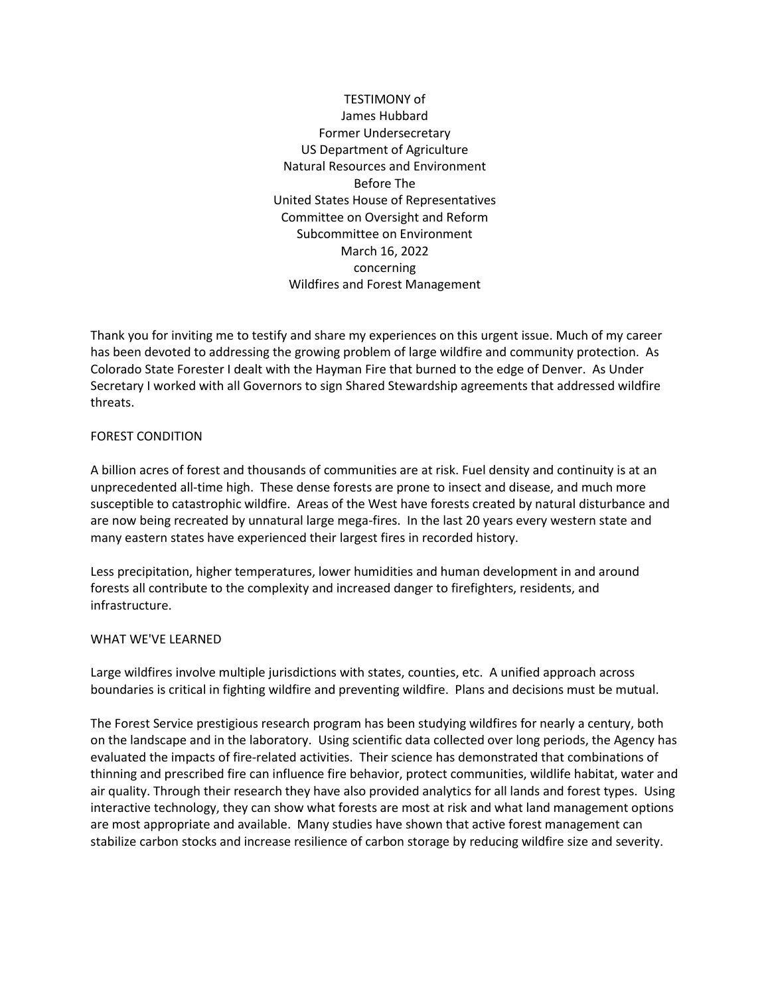# TESTIMONY of James Hubbard Former Undersecretary US Department of Agriculture Natural Resources and Environment Before The United States House of Representatives Committee on Oversight and Reform Subcommittee on Environment March 16, 2022 concerning Wildfires and Forest Management

Thank you for inviting me to testify and share my experiences on this urgent issue. Much of my career has been devoted to addressing the growing problem of large wildfire and community protection. As Colorado State Forester I dealt with the Hayman Fire that burned to the edge of Denver. As Under Secretary I worked with all Governors to sign Shared Stewardship agreements that addressed wildfire threats.

## FOREST CONDITION

A billion acres of forest and thousands of communities are at risk. Fuel density and continuity is at an unprecedented all-time high. These dense forests are prone to insect and disease, and much more susceptible to catastrophic wildfire. Areas of the West have forests created by natural disturbance and are now being recreated by unnatural large mega-fires. In the last 20 years every western state and many eastern states have experienced their largest fires in recorded history.

Less precipitation, higher temperatures, lower humidities and human development in and around forests all contribute to the complexity and increased danger to firefighters, residents, and infrastructure.

## WHAT WE'VE LEARNED

Large wildfires involve multiple jurisdictions with states, counties, etc. A unified approach across boundaries is critical in fighting wildfire and preventing wildfire. Plans and decisions must be mutual.

The Forest Service prestigious research program has been studying wildfires for nearly a century, both on the landscape and in the laboratory. Using scientific data collected over long periods, the Agency has evaluated the impacts of fire-related activities. Their science has demonstrated that combinations of thinning and prescribed fire can influence fire behavior, protect communities, wildlife habitat, water and air quality. Through their research they have also provided analytics for all lands and forest types. Using interactive technology, they can show what forests are most at risk and what land management options are most appropriate and available. Many studies have shown that active forest management can stabilize carbon stocks and increase resilience of carbon storage by reducing wildfire size and severity.